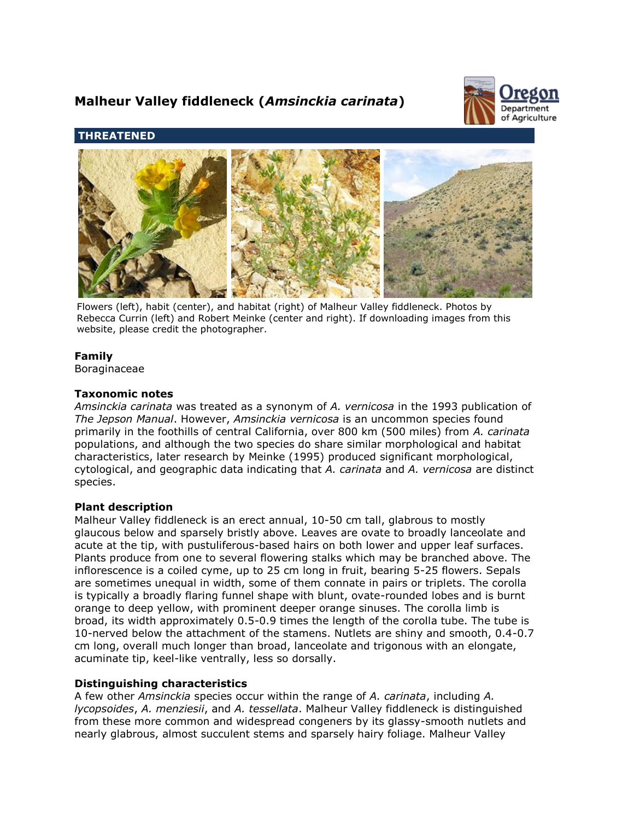# **Malheur Valley fiddleneck (***Amsinckia carinata***)**



# **THREATENED**



Flowers (left), habit (center), and habitat (right) of Malheur Valley fiddleneck. Photos by Rebecca Currin (left) and Robert Meinke (center and right). If downloading images from this website, please credit the photographer.

# **Family**

Boraginaceae

# **Taxonomic notes**

*Amsinckia carinata* was treated as a synonym of *A. vernicosa* in the 1993 publication of *The Jepson Manual*. However, *Amsinckia vernicosa* is an uncommon species found primarily in the foothills of central California, over 800 km (500 miles) from *A. carinata* populations, and although the two species do share similar morphological and habitat characteristics, later research by Meinke (1995) produced significant morphological, cytological, and geographic data indicating that *A. carinata* and *A. vernicosa* are distinct species.

# **Plant description**

Malheur Valley fiddleneck is an erect annual, 10-50 cm tall, glabrous to mostly glaucous below and sparsely bristly above. Leaves are ovate to broadly lanceolate and acute at the tip, with pustuliferous-based hairs on both lower and upper leaf surfaces. Plants produce from one to several flowering stalks which may be branched above. The inflorescence is a coiled cyme, up to 25 cm long in fruit, bearing 5-25 flowers. Sepals are sometimes unequal in width, some of them connate in pairs or triplets. The corolla is typically a broadly flaring funnel shape with blunt, ovate-rounded lobes and is burnt orange to deep yellow, with prominent deeper orange sinuses. The corolla limb is broad, its width approximately 0.5-0.9 times the length of the corolla tube. The tube is 10-nerved below the attachment of the stamens. Nutlets are shiny and smooth, 0.4-0.7 cm long, overall much longer than broad, lanceolate and trigonous with an elongate, acuminate tip, keel-like ventrally, less so dorsally.

# **Distinguishing characteristics**

A few other *Amsinckia* species occur within the range of *A. carinata*, including *A. lycopsoides*, *A. menziesii*, and *A. tessellata*. Malheur Valley fiddleneck is distinguished from these more common and widespread congeners by its glassy-smooth nutlets and nearly glabrous, almost succulent stems and sparsely hairy foliage. Malheur Valley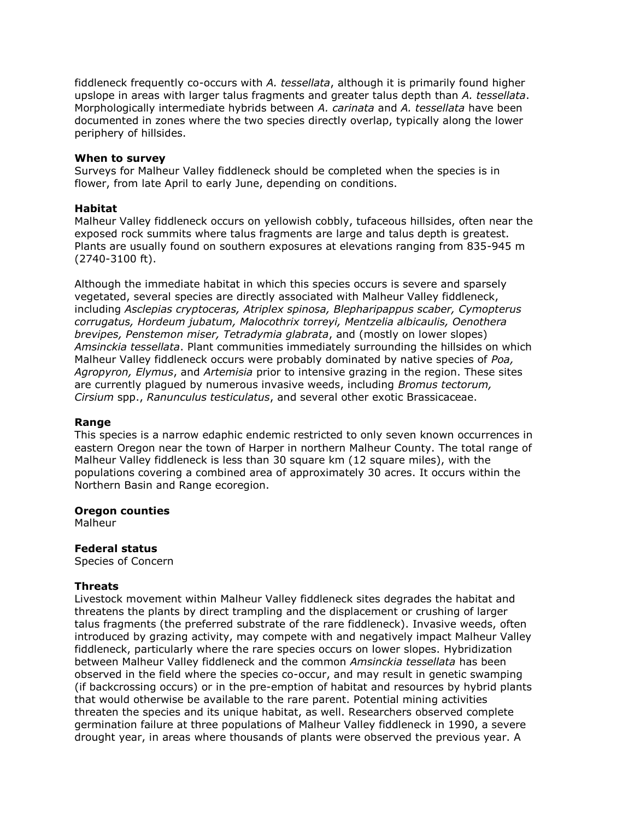fiddleneck frequently co-occurs with *A. tessellata*, although it is primarily found higher upslope in areas with larger talus fragments and greater talus depth than *A. tessellata*. Morphologically intermediate hybrids between *A. carinata* and *A. tessellata* have been documented in zones where the two species directly overlap, typically along the lower periphery of hillsides.

#### **When to survey**

Surveys for Malheur Valley fiddleneck should be completed when the species is in flower, from late April to early June, depending on conditions.

## **Habitat**

Malheur Valley fiddleneck occurs on yellowish cobbly, tufaceous hillsides, often near the exposed rock summits where talus fragments are large and talus depth is greatest. Plants are usually found on southern exposures at elevations ranging from 835-945 m (2740-3100 ft).

Although the immediate habitat in which this species occurs is severe and sparsely vegetated, several species are directly associated with Malheur Valley fiddleneck, including *Asclepias cryptoceras, Atriplex spinosa, Blepharipappus scaber, Cymopterus corrugatus, Hordeum jubatum, Malocothrix torreyi, Mentzelia albicaulis, Oenothera brevipes, Penstemon miser, Tetradymia glabrata*, and (mostly on lower slopes) *Amsinckia tessellata*. Plant communities immediately surrounding the hillsides on which Malheur Valley fiddleneck occurs were probably dominated by native species of *Poa, Agropyron, Elymus*, and *Artemisia* prior to intensive grazing in the region. These sites are currently plagued by numerous invasive weeds, including *Bromus tectorum, Cirsium* spp., *Ranunculus testiculatus*, and several other exotic Brassicaceae.

## **Range**

This species is a narrow edaphic endemic restricted to only seven known occurrences in eastern Oregon near the town of Harper in northern Malheur County. The total range of Malheur Valley fiddleneck is less than 30 square km (12 square miles), with the populations covering a combined area of approximately 30 acres. It occurs within the Northern Basin and Range ecoregion.

## **Oregon counties**

Malheur

## **Federal status**

Species of Concern

## **Threats**

Livestock movement within Malheur Valley fiddleneck sites degrades the habitat and threatens the plants by direct trampling and the displacement or crushing of larger talus fragments (the preferred substrate of the rare fiddleneck). Invasive weeds, often introduced by grazing activity, may compete with and negatively impact Malheur Valley fiddleneck, particularly where the rare species occurs on lower slopes. Hybridization between Malheur Valley fiddleneck and the common *Amsinckia tessellata* has been observed in the field where the species co-occur, and may result in genetic swamping (if backcrossing occurs) or in the pre-emption of habitat and resources by hybrid plants that would otherwise be available to the rare parent. Potential mining activities threaten the species and its unique habitat, as well. Researchers observed complete germination failure at three populations of Malheur Valley fiddleneck in 1990, a severe drought year, in areas where thousands of plants were observed the previous year. A